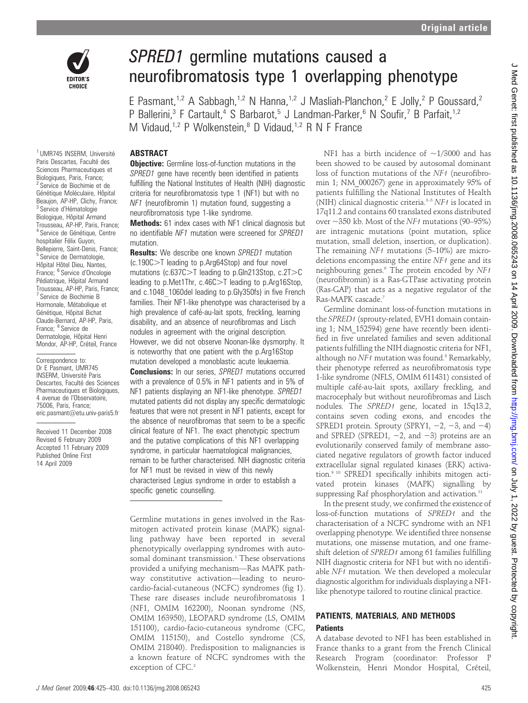

# SPRED1 germline mutations caused a neurofibromatosis type 1 overlapping phenotype

E Pasmant,<sup>1,2</sup> A Sabbagh,<sup>1,2</sup> N Hanna,<sup>1,2</sup> J Masliah-Planchon,<sup>2</sup> E Jolly,<sup>2</sup> P Goussard.<sup>2</sup> P Ballerini,<sup>3</sup> F Cartault,<sup>4</sup> S Barbarot,<sup>5</sup> J Landman-Parker,<sup>6</sup> N Soufir,<sup>7</sup> B Parfait,<sup>1,2</sup> M Vidaud,<sup>1,2</sup> P Wolkenstein,<sup>8</sup> D Vidaud,<sup>1,2</sup> R N F France

#### ABSTRACT

**Objective:** Germline loss-of-function mutations in the SPRED1 gene have recently been identified in patients fulfilling the National Institutes of Health (NIH) diagnostic criteria for neurofibromatosis type 1 (NF1) but with no NF1 (neurofibromin 1) mutation found, suggesting a neurofibromatosis type 1-like syndrome.

Methods: 61 index cases with NF1 clinical diagnosis but no identifiable NF1 mutation were screened for SPRED1 mutation.

**Results:** We describe one known SPRED1 mutation (c.190C.T leading to p.Arg64Stop) and four novel mutations (c.637C $>$ T leading to p.Gln213Stop, c.2T $>$ C leading to p. Met1Thr,  $c.46C > T$  leading to p. Arg16Stop, and c.1048\_1060del leading to p.Gly350fs) in five French families. Their NF1-like phenotype was characterised by a high prevalence of café-au-lait spots, freckling, learning disability, and an absence of neurofibromas and Lisch nodules in agreement with the original description. However, we did not observe Noonan-like dysmorphy. It is noteworthy that one patient with the p.Arg16Stop mutation developed a monoblastic acute leukaemia.

**Conclusions:** In our series, SPRED1 mutations occurred with a prevalence of 0.5% in NF1 patients and in 5% of NF1 patients displaying an NF1-like phenotype. SPRED1 mutated patients did not display any specific dermatologic features that were not present in NF1 patients, except for the absence of neurofibromas that seem to be a specific clinical feature of NF1. The exact phenotypic spectrum and the putative complications of this NF1 overlapping syndrome, in particular haematological malignancies, remain to be further characterised. NIH diagnostic criteria for NF1 must be revised in view of this newly characterised Legius syndrome in order to establish a specific genetic counselling.

Germline mutations in genes involved in the Rasmitogen activated protein kinase (MAPK) signalling pathway have been reported in several phenotypically overlapping syndromes with autosomal dominant transmission.<sup>1</sup> These observations provided a unifying mechanism—Ras MAPK pathway constitutive activation—leading to neurocardio-facial-cutaneous (NCFC) syndromes (fig 1). These rare diseases include neurofibromatosis 1 (NF1, OMIM 162200), Noonan syndrome (NS, OMIM 163950), LEOPARD syndrome (LS, OMIM 151100), cardio-facio-cutaneous syndrome (CFC, OMIM 115150), and Costello syndrome (CS, OMIM 218040). Predisposition to malignancies is a known feature of NCFC syndromes with the exception of CFC.<sup>2</sup>

NF1 has a birth incidence of  $\sim$ 1/3000 and has been showed to be caused by autosomal dominant loss of function mutations of the NF1 (neurofibromin 1; NM\_000267) gene in approximately 95% of patients fulfilling the National Institutes of Health (NIH) clinical diagnostic criteria. $3-5$  NF1 is located in 17q11.2 and contains 60 translated exons distributed over  $\sim$ 350 kb. Most of the NF1 mutations (90–95%) are intragenic mutations (point mutation, splice mutation, small deletion, insertion, or duplication). The remaining NF1 mutations (5-10%) are microdeletions encompassing the entire NF1 gene and its neighbouring genes.<sup>6</sup> The protein encoded by NF1 (neurofibromin) is a Ras-GTPase activating protein (Ras-GAP) that acts as a negative regulator of the Ras-MAPK cascade.7

Germline dominant loss-of-function mutations in the SPRED1 (sprouty-related, EVH1 domain containing 1; NM\_152594) gene have recently been identified in five unrelated families and seven additional patients fulfilling the NIH diagnostic criteria for NF1, although no  $NF1$  mutation was found.<sup>8</sup> Remarkably, their phenotype referred as neurofibromatosis type 1-like syndrome (NFLS, OMIM 611431) consisted of multiple café-au-lait spots, axillary freckling, and macrocephaly but without neurofibromas and Lisch nodules. The SPRED1 gene, located in 15q13.2, contains seven coding exons, and encodes the SPRED1 protein. Sprouty (SPRY1,  $-2$ ,  $-3$ , and  $-4$ ) and SPRED (SPRED1,  $-2$ , and  $-3$ ) proteins are an evolutionarily conserved family of membrane associated negative regulators of growth factor induced extracellular signal regulated kinases (ERK) activation.9 10 SPRED1 specifically inhibits mitogen activated protein kinases (MAPK) signalling by suppressing Raf phosphorylation and activation.<sup>11</sup>

In the present study, we confirmed the existence of loss-of-function mutations of SPRED1 and the characterisation of a NCFC syndrome with an NF1 overlapping phenotype. We identified three nonsense mutations, one missense mutation, and one frameshift deletion of SPRED1 among 61 families fulfilling NIH diagnostic criteria for NF1 but with no identifiable NF1 mutation. We then developed a molecular diagnostic algorithm for individuals displaying a NF1 like phenotype tailored to routine clinical practice.

## PATIENTS, MATERIALS, AND METHODS **Patients**

A database devoted to NF1 has been established in France thanks to a grant from the French Clinical Research Program (coordinator: Professor P Wolkenstein, Henri Mondor Hospital, Créteil,

<sup>1</sup> UMR745 INSERM, Université Paris Descartes, Faculté des Sciences Pharmaceutiques et Biologiques, Paris, France; <sup>2</sup> Service de Biochimie et de Génétique Moléculaire, Hôpital Beaujon, AP-HP, Clichy, France; <sup>3</sup> Service d'Hématologie Biologique, Hôpital Armand Trousseau, AP-HP, Paris, France; <sup>4</sup> Service de Génétique, Centre hospitalier Félix Guyon, Bellepierre, Saint-Denis, France; <sup>5</sup> Service de Dermatologie, Hôpital Hôtel Dieu, Nantes, France; <sup>6</sup> Service d'Oncologie Pédiatrique, Hôpital Armand Trousseau, AP-HP, Paris, France; <sup>7</sup> Service de Biochimie B Hormonale, Métabolique et Génétique, Hôpital Bichat Claude-Bernard, AP-HP, Paris, France; <sup>8</sup> Service de Dermatologie, Hôpital Henri Mondor, AP-HP, Créteil, France

Correspondence to: Dr E Pasmant, UMR745 INSERM, Université Paris Descartes, Faculté des Sciences Pharmaceutiques et Biologiques, 4 avenue de l'Observatoire, 75006, Paris, France; eric.pasmant@etu.univ-paris5.fr

Received 11 December 2008 Revised 6 February 2009 Accepted 11 February 2009 Published Online First 14 April 2009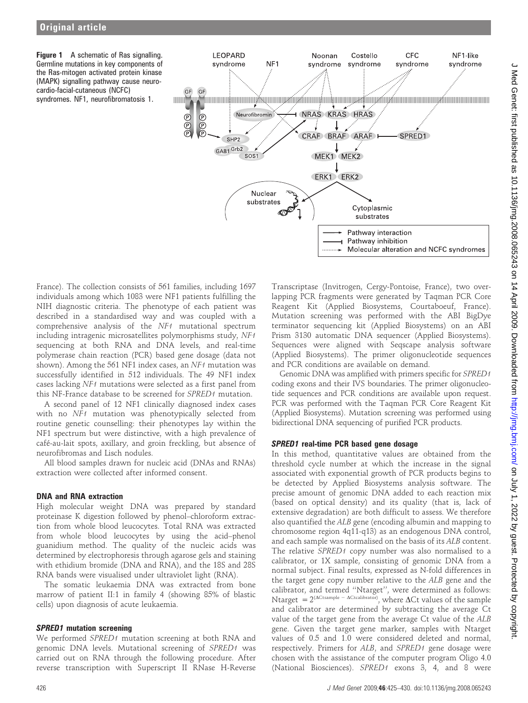Figure 1 A schematic of Ras signalling. Germline mutations in key components of the Ras-mitogen activated protein kinase (MAPK) signalling pathway cause neurocardio-facial-cutaneous (NCFC) syndromes. NF1, neurofibromatosis 1.



France). The collection consists of 561 families, including 1697 individuals among which 1083 were NF1 patients fulfilling the NIH diagnostic criteria. The phenotype of each patient was described in a standardised way and was coupled with a comprehensive analysis of the NF1 mutational spectrum including intragenic microsatellites polymorphisms study, NF1 sequencing at both RNA and DNA levels, and real-time polymerase chain reaction (PCR) based gene dosage (data not shown). Among the 561 NF1 index cases, an NF1 mutation was successfully identified in 512 individuals. The 49 NF1 index cases lacking NF1 mutations were selected as a first panel from this NF-France database to be screened for SPRED1 mutation.

A second panel of 12 NF1 clinically diagnosed index cases with no NF1 mutation was phenotypically selected from routine genetic counselling: their phenotypes lay within the NF1 spectrum but were distinctive, with a high prevalence of café-au-lait spots, axillary, and groin freckling, but absence of neurofibromas and Lisch nodules.

All blood samples drawn for nucleic acid (DNAs and RNAs) extraction were collected after informed consent.

### DNA and RNA extraction

High molecular weight DNA was prepared by standard proteinase K digestion followed by phenol–chloroform extraction from whole blood leucocytes. Total RNA was extracted from whole blood leucocytes by using the acid–phenol guanidium method. The quality of the nucleic acids was determined by electrophoresis through agarose gels and staining with ethidium bromide (DNA and RNA), and the 18S and 28S RNA bands were visualised under ultraviolet light (RNA).

The somatic leukaemia DNA was extracted from bone marrow of patient II:1 in family 4 (showing 85% of blastic cells) upon diagnosis of acute leukaemia.

### SPRED1 mutation screening

We performed SPRED1 mutation screening at both RNA and genomic DNA levels. Mutational screening of SPRED1 was carried out on RNA through the following procedure. After reverse transcription with Superscript II RNase H-Reverse

Transcriptase (Invitrogen, Cergy-Pontoise, France), two overlapping PCR fragments were generated by Taqman PCR Core Reagent Kit (Applied Biosystems, Courtaboeuf, France). Mutation screening was performed with the ABI BigDye terminator sequencing kit (Applied Biosystems) on an ABI Prism 3130 automatic DNA sequencer (Applied Biosystems). Sequences were aligned with Seqscape analysis software (Applied Biosystems). The primer oligonucleotide sequences and PCR conditions are available on demand.

Genomic DNA was amplified with primers specific for SPRED1 coding exons and their IVS boundaries. The primer oligonucleotide sequences and PCR conditions are available upon request. PCR was performed with the Taqman PCR Core Reagent Kit (Applied Biosystems). Mutation screening was performed using bidirectional DNA sequencing of purified PCR products.

### SPRED1 real-time PCR based gene dosage

In this method, quantitative values are obtained from the threshold cycle number at which the increase in the signal associated with exponential growth of PCR products begins to be detected by Applied Biosystems analysis software. The precise amount of genomic DNA added to each reaction mix (based on optical density) and its quality (that is, lack of extensive degradation) are both difficult to assess. We therefore also quantified the ALB gene (encoding albumin and mapping to chromosome region 4q11-q13) as an endogenous DNA control, and each sample was normalised on the basis of its ALB content. The relative SPRED1 copy number was also normalised to a calibrator, or 1X sample, consisting of genomic DNA from a normal subject. Final results, expressed as N-fold differences in the target gene copy number relative to the ALB gene and the calibrator, and termed ''Ntarget'', were determined as follows: Ntarget =  $2^{(\Delta C \text{tsample} - \Delta C \text{tcalibrator})}$ , where  $\Delta C t$  values of the sample and calibrator are determined by subtracting the average Ct value of the target gene from the average Ct value of the ALB gene. Given the target gene marker, samples with Ntarget values of 0.5 and 1.0 were considered deleted and normal, respectively. Primers for ALB, and SPRED1 gene dosage were chosen with the assistance of the computer program Oligo 4.0 (National Biosciences). SPRED1 exons 3, 4, and 8 were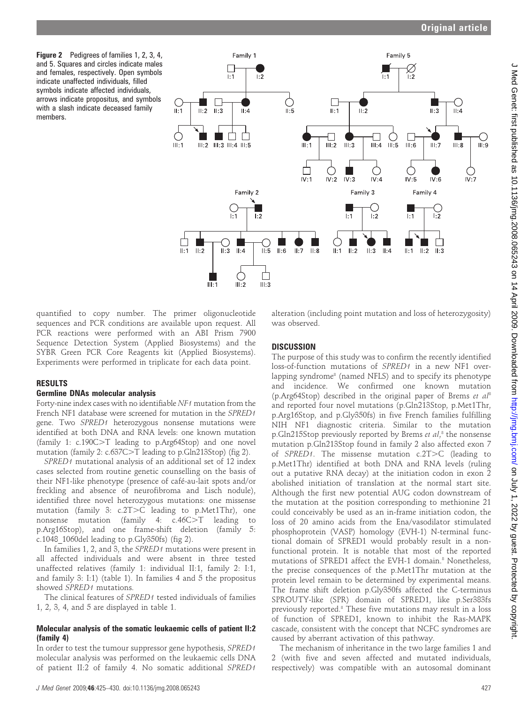Figure 2 Pedigrees of families 1, 2, 3, 4, and 5. Squares and circles indicate males and females, respectively. Open symbols indicate unaffected individuals, filled symbols indicate affected individuals, arrows indicate propositus, and symbols with a slash indicate deceased family members.



quantified to copy number. The primer oligonucleotide sequences and PCR conditions are available upon request. All PCR reactions were performed with an ABI Prism 7900 Sequence Detection System (Applied Biosystems) and the SYBR Green PCR Core Reagents kit (Applied Biosystems). Experiments were performed in triplicate for each data point.

### RESULTS

#### Germline DNAs molecular analysis

Forty-nine index cases with no identifiable NF1 mutation from the French NF1 database were screened for mutation in the SPRED1 gene. Two SPRED1 heterozygous nonsense mutations were identified at both DNA and RNA levels: one known mutation (family 1:  $c.190C>T$  leading to p.Arg64Stop) and one novel mutation (family 2:  $c.637C > T$  leading to p. Gln213Stop) (fig 2).

SPRED1 mutational analysis of an additional set of 12 index cases selected from routine genetic counselling on the basis of their NF1-like phenotype (presence of café-au-lait spots and/or freckling and absence of neurofibroma and Lisch nodule), identified three novel heterozygous mutations: one missense mutation (family 3:  $c.2T>C$  leading to p.Met1Thr), one nonsense mutation (family 4:  $c.46C > T$  leading to p.Arg16Stop), and one frame-shift deletion (family 5: c.1048  $1060$ del leading to p.Gly $350$ fs) (fig 2).

In families 1, 2, and 3, the SPRED1 mutations were present in all affected individuals and were absent in three tested unaffected relatives (family 1: individual II:1, family 2: I:1, and family 3: I:1) (table 1). In families 4 and 5 the propositus showed SPRED1 mutations.

The clinical features of SPRED1 tested individuals of families 1, 2, 3, 4, and 5 are displayed in table 1.

#### Molecular analysis of the somatic leukaemic cells of patient II:2 (family 4)

In order to test the tumour suppressor gene hypothesis, SPRED1 molecular analysis was performed on the leukaemic cells DNA of patient II:2 of family 4. No somatic additional SPRED1

J Med Genet 2009;46:425–430. doi:10.1136/jmg.2008.065243 427

alteration (including point mutation and loss of heterozygosity) was observed.

### **DISCUSSION**

The purpose of this study was to confirm the recently identified loss-of-function mutations of SPRED1 in a new NF1 overlapping syndrome<sup>8</sup> (named NFLS) and to specify its phenotype and incidence. We confirmed one known mutation (p.Arg64Stop) described in the original paper of Brems et  $al^8$ and reported four novel mutations (p.Gln213Stop, p.Met1Thr, p.Arg16Stop, and p.Gly350fs) in five French families fulfilling NIH NF1 diagnostic criteria. Similar to the mutation p.Gln215Stop previously reported by Brems et al,<sup>8</sup> the nonsense mutation p.Gln213Stop found in family 2 also affected exon 7 of  $SPRED1$ . The missense mutation  $c.2T>C$  (leading to p.Met1Thr) identified at both DNA and RNA levels (ruling out a putative RNA decay) at the initiation codon in exon 2 abolished initiation of translation at the normal start site. Although the first new potential AUG codon downstream of the mutation at the position corresponding to methionine 21 could conceivably be used as an in-frame initiation codon, the loss of 20 amino acids from the Ena/vasodilator stimulated phosphoprotein (VASP) homology (EVH-1) N-terminal functional domain of SPRED1 would probably result in a nonfunctional protein. It is notable that most of the reported mutations of SPRED1 affect the EVH-1 domain.<sup>8</sup> Nonetheless, the precise consequences of the p.Met1Thr mutation at the protein level remain to be determined by experimental means. The frame shift deletion p.Gly350fs affected the C-terminus SPROUTY-like (SPR) domain of SPRED1, like p.Ser383fs previously reported.8 These five mutations may result in a loss of function of SPRED1, known to inhibit the Ras-MAPK cascade, consistent with the concept that NCFC syndromes are caused by aberrant activation of this pathway.

The mechanism of inheritance in the two large families 1 and 2 (with five and seven affected and mutated individuals, respectively) was compatible with an autosomal dominant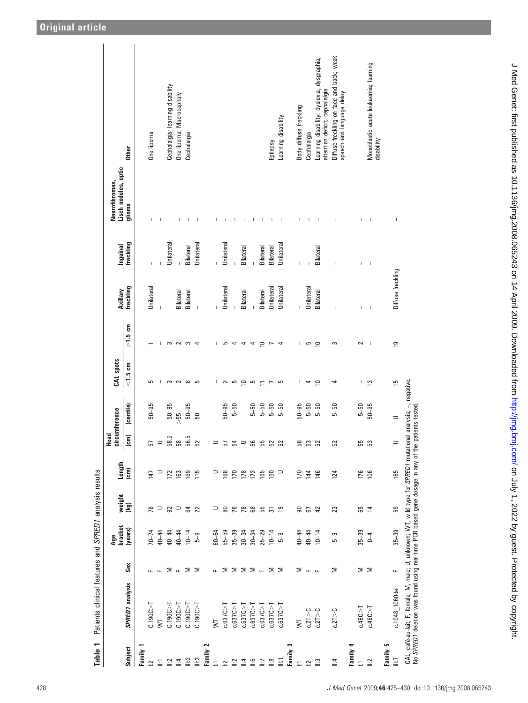| Ε<br><b>Table</b>                       | Patients clinical features and SPRED1 analysis results                                                                                                                                      |                                         |                |                 |                |                |                        |                |                |                   |                                                                                                                                                                                                                                                                                                                                                                                  |                                        |                                                                              |
|-----------------------------------------|---------------------------------------------------------------------------------------------------------------------------------------------------------------------------------------------|-----------------------------------------|----------------|-----------------|----------------|----------------|------------------------|----------------|----------------|-------------------|----------------------------------------------------------------------------------------------------------------------------------------------------------------------------------------------------------------------------------------------------------------------------------------------------------------------------------------------------------------------------------|----------------------------------------|------------------------------------------------------------------------------|
|                                         |                                                                                                                                                                                             |                                         | bracket<br>Age | weight          | Length         | Head<br>circl  | umference              | CAL spots      |                | Axillary          | <b>Inguinal</b>                                                                                                                                                                                                                                                                                                                                                                  | Lisch nodules, optic<br>Neurofibromas, |                                                                              |
| Subject                                 | SPRED1 analysis                                                                                                                                                                             | Sex                                     | (years)        | (kg)            | (cm)           | $\overline{5}$ | (centile)              | $<$ 1.5 cm     | $>1.5$ cm      | freckling         | freckling                                                                                                                                                                                                                                                                                                                                                                        | glioma                                 | <b>Other</b>                                                                 |
| Family                                  |                                                                                                                                                                                             |                                         |                |                 |                |                |                        |                |                |                   |                                                                                                                                                                                                                                                                                                                                                                                  |                                        |                                                                              |
| $\bar{\omega}$                          | C.190C > T                                                                                                                                                                                  |                                         | $70 - 74$      | 78              | 147            | 57             | $50 - 95$              | 5              |                | Unilateral        | I                                                                                                                                                                                                                                                                                                                                                                                | Т                                      | One lipoma                                                                   |
| 들                                       | ⅀                                                                                                                                                                                           | ட                                       | 40-44          | $\Rightarrow$   | $\Rightarrow$  | $\Rightarrow$  |                        | J.             | I.             |                   |                                                                                                                                                                                                                                                                                                                                                                                  | T                                      |                                                                              |
| $\tilde{=}$                             | C.190C > T                                                                                                                                                                                  |                                         | $40 - 44$      | 92              | 172            | 58.5           | $50 - 95$              | S              | က              |                   | Unilateral                                                                                                                                                                                                                                                                                                                                                                       | T                                      | Cephalalgia; learning disability                                             |
| $\mathbb{I}$ :4                         | C.190C                                                                                                                                                                                      | $\Sigma$ $\mathsf{L}$ $\Sigma$ $\Sigma$ | $40 - 44$      | $\Rightarrow$   | 163            | 58             | $\frac{26}{10}$        | $\sim$         | $\sim$         | Bilateral         |                                                                                                                                                                                                                                                                                                                                                                                  | $\overline{\phantom{a}}$               | One lipoma; Macrocephaly                                                     |
| $\mathbb{I}$ :2                         | C.190C > T                                                                                                                                                                                  |                                         | $10 - 14$      | 54              | 169            | 56.5           | $50 - 95$              | $\infty$       |                | Bilateral         | Bilateral                                                                                                                                                                                                                                                                                                                                                                        | T                                      | Cephalalgia                                                                  |
| $\ddot{=}$                              | C.190C > T                                                                                                                                                                                  |                                         | $5 - 9$        | 22              | $\frac{5}{10}$ | 52             | 50                     | 5              |                | $\overline{1}$    | Unilateral                                                                                                                                                                                                                                                                                                                                                                       | $\overline{\phantom{a}}$               |                                                                              |
| 2<br>Family                             |                                                                                                                                                                                             |                                         |                |                 |                |                |                        |                |                |                   |                                                                                                                                                                                                                                                                                                                                                                                  |                                        |                                                                              |
| Ξ                                       | ŠΤ                                                                                                                                                                                          |                                         | $60 - 64$      | ⊃               | ⊃              | $\Rightarrow$  |                        | J.             | ı              |                   | $\overline{1}$                                                                                                                                                                                                                                                                                                                                                                   | T                                      |                                                                              |
| $\overline{5}$                          | c.637C > T                                                                                                                                                                                  |                                         | $55 - 59$      | 8828            | 168            | 57             | $50 - 95$              | $\sim$         | E              | Unilateral        | Unilateral                                                                                                                                                                                                                                                                                                                                                                       | $\overline{\phantom{a}}$               |                                                                              |
| $\frac{2}{3}$                           | c.637C > T                                                                                                                                                                                  |                                         | $35 - 39$      |                 | 170            | 54             | $5 - 50$               | G              |                |                   |                                                                                                                                                                                                                                                                                                                                                                                  | т                                      |                                                                              |
| $\mathsf{I}:\mathsf{I}$                 | c.637C > T                                                                                                                                                                                  |                                         | $30 - 34$      |                 | 178            | $\Rightarrow$  |                        | ≘              |                | Bilateral         | Bilateral                                                                                                                                                                                                                                                                                                                                                                        | т                                      |                                                                              |
| ە <u>:</u>                              | c.637C                                                                                                                                                                                      |                                         | $30 - 34$      |                 | 172            | 56             | $5 - 50$               | G              | 4              |                   | L                                                                                                                                                                                                                                                                                                                                                                                | T                                      |                                                                              |
| ĒΙ                                      | c.637C > T                                                                                                                                                                                  | ᇿ⅀⅀⅀⅀ᇿ⅀⅀                                | $25 - 29$      | 55              | 165            | 55             | $5 - 50$               |                | ₽              | Bilateral         | Bilateral                                                                                                                                                                                                                                                                                                                                                                        | T                                      |                                                                              |
| $\stackrel{\circ}{=}$                   | c.637C > 1                                                                                                                                                                                  |                                         | $10 - 14$      | $\overline{5}$  | 150            | 52             | $5 - 50$               | $\overline{ }$ |                | Unilateral        | Bilateral                                                                                                                                                                                                                                                                                                                                                                        | $\overline{\phantom{a}}$               | Epilepsy                                                                     |
| Ξ                                       | c.637C > T                                                                                                                                                                                  |                                         | $5 - 9$        | ာ               | ∍              | 52             | $5 - 50$               | G              | 4              | Unilateral        | Unilateral                                                                                                                                                                                                                                                                                                                                                                       | $\overline{\phantom{a}}$               | Learning disability                                                          |
| S<br>Family                             |                                                                                                                                                                                             |                                         |                |                 |                |                |                        |                |                |                   |                                                                                                                                                                                                                                                                                                                                                                                  |                                        |                                                                              |
| Ξ                                       | $\overline{\mathsf{S}}$                                                                                                                                                                     | Σ                                       | $40 - 44$      | ຘ               | 170            | 58             | $50 - 95$              | L              | $\mathbf{I}$   | $\overline{1}$    | I                                                                                                                                                                                                                                                                                                                                                                                | I                                      | Body diffuse freckling                                                       |
| $\bar{z}$                               | c.2T > C                                                                                                                                                                                    | ட்ட                                     | $40 - 44$      | <b>67</b><br>42 | 144            | 53             | $5 - 50$               | 4              | G              | Unilateral        | $\begin{array}{c} \rule{0pt}{2.5ex} \rule{0pt}{2.5ex} \rule{0pt}{2.5ex} \rule{0pt}{2.5ex} \rule{0pt}{2.5ex} \rule{0pt}{2.5ex} \rule{0pt}{2.5ex} \rule{0pt}{2.5ex} \rule{0pt}{2.5ex} \rule{0pt}{2.5ex} \rule{0pt}{2.5ex} \rule{0pt}{2.5ex} \rule{0pt}{2.5ex} \rule{0pt}{2.5ex} \rule{0pt}{2.5ex} \rule{0pt}{2.5ex} \rule{0pt}{2.5ex} \rule{0pt}{2.5ex} \rule{0pt}{2.5ex} \rule{0$ | $\overline{\phantom{a}}$               | Cephalalgia                                                                  |
| $\ddot{ }$                              | c.2T > C                                                                                                                                                                                    |                                         | $10 - 14$      |                 | 146            | 52             | $5 - 50$               | $\supseteq$    | $\supseteq$    | Bilateral         | Bilateral                                                                                                                                                                                                                                                                                                                                                                        | $\overline{\phantom{a}}$               | Learning disability: dyslexia, dysgraphia,<br>attention deficit; cephalalgia |
| $\ddot{=}$                              | c.2T > C                                                                                                                                                                                    | Σ                                       | $5 - 9$        | 23              | 124            | 52             | $5 - 50$               | 4              | S              | I                 | I                                                                                                                                                                                                                                                                                                                                                                                | $\begin{array}{c} \end{array}$         | Diffuse freckling on face and back; weak<br>speech and language delay        |
| 4<br>Family                             |                                                                                                                                                                                             |                                         |                |                 |                |                |                        |                |                |                   |                                                                                                                                                                                                                                                                                                                                                                                  |                                        |                                                                              |
| $\overline{\mathbb{Z}}$                 | c.46C > T                                                                                                                                                                                   |                                         | $35 - 39$      | 65              | 176            | 55             | $5 - 50$               | T              | $\sim$         | I                 | т                                                                                                                                                                                                                                                                                                                                                                                | T                                      |                                                                              |
| $\ddot{=}$                              | c.46C > T                                                                                                                                                                                   | ΣΣ                                      | $0 - 4$        | $\overline{4}$  | 106            | 53             | $50 - 95$              | $\mathbf{r}$   | -I             | $\mathbf{I}$      | $\begin{array}{c} \end{array}$                                                                                                                                                                                                                                                                                                                                                   | $\mathbf{I}$                           | Monoblastic acute leukaemia; learning<br>disability                          |
| S<br>Family!<br>$\overline{\mathbb{H}}$ | c.1048 1060del                                                                                                                                                                              | щ                                       | $35 - 39$      | 59              | 165            | $\Rightarrow$  | $\Rightarrow$          | 51             | $\overline{e}$ | Diffuse freckling |                                                                                                                                                                                                                                                                                                                                                                                  | $\mathbf{I}$                           |                                                                              |
|                                         | No SPRED1 deletion was found using real-time PCR based gene dosage in any of the patients tested.<br>CAL, café-au-lait; F, female; M, male; U, unknown; WT, wild type for SPRED1 mutational |                                         |                |                 |                |                | analysis; -, negative. |                |                |                   |                                                                                                                                                                                                                                                                                                                                                                                  |                                        |                                                                              |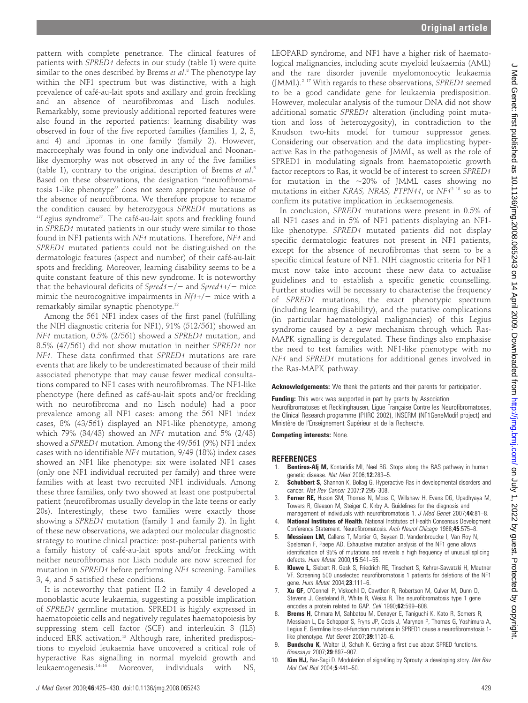LEOPARD syndrome, and NF1 have a higher risk of haematological malignancies, including acute myeloid leukaemia (AML) and the rare disorder juvenile myelomonocytic leukaemia (JMML).<sup>2 17</sup> With regards to these observations, SPRED1 seemed to be a good candidate gene for leukaemia predisposition. However, molecular analysis of the tumour DNA did not show additional somatic SPRED1 alteration (including point mutation and loss of heterozygosity), in contradiction to the Knudson two-hits model for tumour suppressor genes. Considering our observation and the data implicating hyperactive Ras in the pathogenesis of JMML, as well as the role of SPRED1 in modulating signals from haematopoietic growth factor receptors to Ras, it would be of interest to screen SPRED1 for mutation in the  $\sim$ 20% of JMML cases showing no mutations in either KRAS, NRAS, PTPN11, or NF1<sup>2 18</sup> so as to confirm its putative implication in leukaemogenesis.

In conclusion, SPRED1 mutations were present in 0.5% of all NF1 cases and in 5% of NF1 patients displaying an NF1 like phenotype. SPRED1 mutated patients did not display specific dermatologic features not present in NF1 patients, except for the absence of neurofibromas that seem to be a specific clinical feature of NF1. NIH diagnostic criteria for NF1 must now take into account these new data to actualise guidelines and to establish a specific genetic counselling. Further studies will be necessary to characterise the frequency of SPRED1 mutations, the exact phenotypic spectrum (including learning disability), and the putative complications (in particular haematological malignancies) of this Legius syndrome caused by a new mechanism through which Ras-MAPK signalling is deregulated. These findings also emphasise the need to test families with NF1-like phenotype with no NF1 and SPRED1 mutations for additional genes involved in the Ras-MAPK pathway.

Acknowledgements: We thank the patients and their parents for participation.

Funding: This work was supported in part by grants by Association Neurofibromatoses et Recklinghausen, Ligue Française Contre les Neurofibromatoses, the Clinical Research programme (PHRC 2002), INSERM (NF1GeneModif project) and Ministère de l'Enseignement Supérieur et de la Recherche.

Competing interests: None.

#### **REFERENCES**

- 1. **Bentires-Alj M,** Kontaridis MI, Neel BG. Stops along the RAS pathway in human genetic disease. Nat Med 2006;12:283-5.
- 2. **Schubbert S,** Shannon K, Bollag G. Hyperactive Ras in developmental disorders and cancer. Nat Rev Cancer 2007:7:295-308.
- 3. Ferner RE, Huson SM, Thomas N, Moss C, Willshaw H, Evans DG, Upadhyaya M, Towers R, Gleeson M, Steiger C, Kirby A. Guidelines for the diagnosis and management of individuals with neurofibromatosis 1. J Med Genet 2007;44:81-8.
- 4. **National Institutes of Health**. National Institutes of Health Consensus Development Conference Statement. Neurofibromatosis. Arch Neurol Chicago 1988;45:575–8.
- **Messiaen LM, Callens T, Mortier G, Beysen D, Vandenbroucke I, Van Roy N,** Speleman F, Paepe AD. Exhaustive mutation analysis of the NF1 gene allows identification of 95% of mutations and reveals a high frequency of unusual splicing defects. Hum Mutat 2000;15:541–55.
- 6. Kluwe L, Siebert R, Gesk S, Friedrich RE, Tinschert S, Kehrer-Sawatzki H, Mautner VF. Screening 500 unselected neurofibromatosis 1 patients for deletions of the NF1 gene. Hum Mutat 2004;23:111–6.
- Xu GF, O'Connell P, Viskochil D, Cawthon R, Robertson M, Culver M, Dunn D, Stevens J, Gesteland R, White R, Weiss R. The neurofibromatosis type 1 gene encodes a protein related to GAP. Cell 1990;62:599–608.
- Brems H, Chmara M, Sahbatou M, Denayer E, Taniguchi K, Kato R, Somers R, Messiaen L, De Schepper S, Fryns JP, Cools J, Marynen P, Thomas G, Yoshimura A, Legius E. Germline loss-of-function mutations in SPRED1 cause a neurofibromatosis 1 like phenotype. Nat Genet 2007;39:1120-6.
- 9. **Bundschu K,** Walter U, Schuh K. Getting a first clue about SPRED functions. Bioessays 2007;29:897–907.
- 10. **Kim HJ,** Bar-Sagi D. Modulation of signalling by Sprouty: a developing story. Nat Rev Mol Cell Biol 2004;5:441–50.

pattern with complete penetrance. The clinical features of patients with SPRED1 defects in our study (table 1) were quite similar to the ones described by Brems *et al*.<sup>8</sup> The phenotype lay within the NF1 spectrum but was distinctive, with a high prevalence of café-au-lait spots and axillary and groin freckling and an absence of neurofibromas and Lisch nodules. Remarkably, some previously additional reported features were also found in the reported patients: learning disability was observed in four of the five reported families (families 1, 2, 3, and 4) and lipomas in one family (family 2). However, macrocephaly was found in only one individual and Noonanlike dysmorphy was not observed in any of the five families (table 1), contrary to the original description of Brems et al.<sup>8</sup> Based on these observations, the designation ''neurofibromatosis 1-like phenotype'' does not seem appropriate because of the absence of neurofibroma. We therefore propose to rename the condition caused by heterozygous SPRED1 mutations as "Legius syndrome". The café-au-lait spots and freckling found in SPRED1 mutated patients in our study were similar to those found in NF1 patients with NF1 mutations. Therefore, NF1 and SPRED1 mutated patients could not be distinguished on the dermatologic features (aspect and number) of their café-au-lait spots and freckling. Moreover, learning disability seems to be a quite constant feature of this new syndrome. It is noteworthy that the behavioural deficits of  $Spred1-/-$  and  $Spred1+/-$  mice mimic the neurocognitive impairments in  $Nf_1+/-$  mice with a remarkably similar synaptic phenotype.12

Among the 561 NF1 index cases of the first panel (fulfilling the NIH diagnostic criteria for NF1), 91% (512/561) showed an NF1 mutation, 0.5% (2/561) showed a SPRED1 mutation, and 8.5% (47/561) did not show mutation in neither SPRED1 nor NF1. These data confirmed that SPRED1 mutations are rare events that are likely to be underestimated because of their mild associated phenotype that may cause fewer medical consultations compared to NF1 cases with neurofibromas. The NF1-like phenotype (here defined as café-au-lait spots and/or freckling with no neurofibroma and no Lisch nodule) had a poor prevalence among all NF1 cases: among the 561 NF1 index cases, 8% (43/561) displayed an NF1-like phenotype, among which 79% (34/43) showed an NF1 mutation and 5% (2/43) showed a SPRED1 mutation. Among the 49/561 (9%) NF1 index cases with no identifiable NF1 mutation, 9/49 (18%) index cases showed an NF1 like phenotype: six were isolated NF1 cases (only one NF1 individual recruited per family) and three were families with at least two recruited NF1 individuals. Among these three families, only two showed at least one postpubertal patient (neurofibromas usually develop in the late teens or early 20s). Interestingly, these two families were exactly those showing a SPRED1 mutation (family 1 and family 2). In light of these new observations, we adapted our molecular diagnostic strategy to routine clinical practice: post-pubertal patients with a family history of café-au-lait spots and/or freckling with neither neurofibromas nor Lisch nodule are now screened for mutation in SPRED1 before performing NF1 screening. Families 3, 4, and 5 satisfied these conditions.

It is noteworthy that patient II:2 in family 4 developed a monoblastic acute leukaemia, suggesting a possible implication of SPRED1 germline mutation. SPRED1 is highly expressed in haematopoietic cells and negatively regulates haematopoiesis by suppressing stem cell factor (SCF) and interleukin 3 (IL3) induced ERK activation.<sup>13</sup> Although rare, inherited predispositions to myeloid leukaemia have uncovered a critical role of hyperactive Ras signalling in normal myeloid growth and leukaemogenesis.14–16 Moreover, individuals with NS,